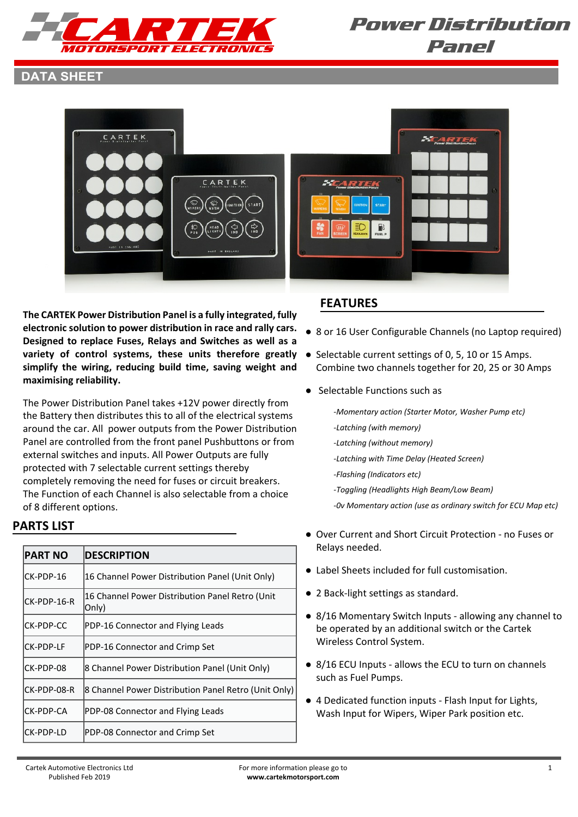

#### **DATA SHEET**



**The CARTEK Power Distribution Panel is a fully integrated, fully electronic solution to power distribution in race and rally cars. Designed to replace Fuses, Relays and Switches as well as a variety of control systems, these units therefore greatly** ● Selectable current settings of 0, 5, 10 or 15 Amps. **simplify the wiring, reducing build time, saving weight and maximising reliability.**

The Power Distribution Panel takes +12V power directly from the Battery then distributes this to all of the electrical systems around the car. All power outputs from the Power Distribution Panel are controlled from the front panel Pushbuttons or from external switches and inputs. All Power Outputs are fully protected with 7 selectable current settings thereby completely removing the need for fuses or circuit breakers. The Function of each Channel is also selectable from a choice of 8 different options.

#### **PARTS LIST**

| <b>PART NO</b> | <b>DESCRIPTION</b>                                        |  |
|----------------|-----------------------------------------------------------|--|
| ICK-PDP-16     | 16 Channel Power Distribution Panel (Unit Only)           |  |
| lCK-PDP-16-R   | 16 Channel Power Distribution Panel Retro (Unit<br> Only) |  |
| ICK-PDP-CC     | PDP-16 Connector and Flying Leads                         |  |
| ICK-PDP-LF     | PDP-16 Connector and Crimp Set                            |  |
| ICK-PDP-08     | 8 Channel Power Distribution Panel (Unit Only)            |  |
| ICK-PDP-08-R   | 8 Channel Power Distribution Panel Retro (Unit Only)      |  |
| ICK-PDP-CA     | PDP-08 Connector and Flying Leads                         |  |
| ICK-PDP-LD     | PDP-08 Connector and Crimp Set                            |  |

#### **FEATURES**

- 8 or 16 User Configurable Channels (no Laptop required)
- Combine two channels together for 20, 25 or 30 Amps
- Selectable Functions such as
	- *-Momentary action (Starter Motor, Washer Pump etc)*
	- *-Latching (with memory)*
	- *-Latching (without memory)*
	- *-Latching with Time Delay (Heated Screen)*
	- *-Flashing (Indicators etc)*
		- *-Toggling (Headlights High Beam/Low Beam)*
	- *-0v Momentary action (use as ordinary switch for ECU Map etc)*
- Over Current and Short Circuit Protection no Fuses or Relays needed.
- Label Sheets included for full customisation.
- 2 Back-light settings as standard.
- 8/16 Momentary Switch Inputs allowing any channel to be operated by an additional switch or the Cartek Wireless Control System.
- 8/16 ECU Inputs allows the ECU to turn on channels such as Fuel Pumps.
- 4 Dedicated function inputs Flash Input for Lights, Wash Input for Wipers, Wiper Park position etc.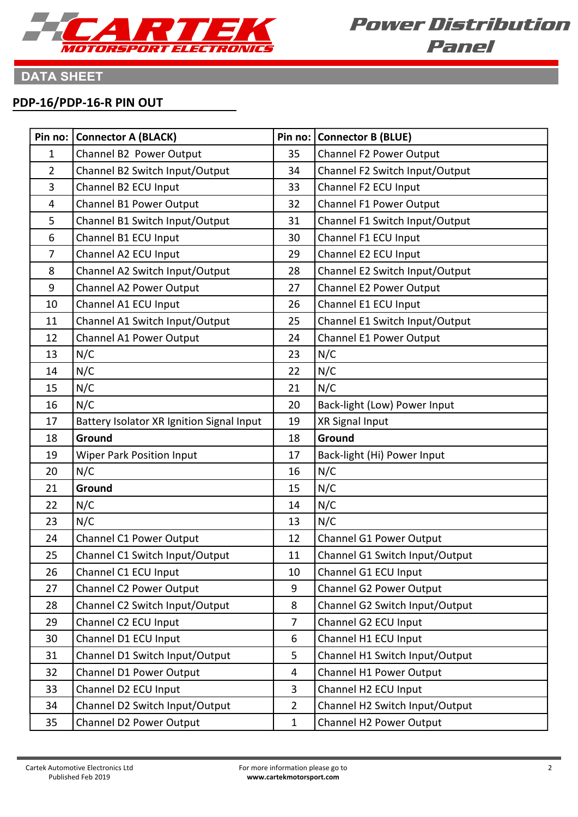

# **DATA SHEET**

#### **PDP-16/PDP-16-R PIN OUT**

| Pin no:        | <b>Connector A (BLACK)</b>                |                | Pin no:   Connector B (BLUE)   |
|----------------|-------------------------------------------|----------------|--------------------------------|
| 1              | Channel B2 Power Output                   | 35             | Channel F2 Power Output        |
| $\overline{2}$ | Channel B2 Switch Input/Output            | 34             | Channel F2 Switch Input/Output |
| 3              | Channel B2 ECU Input                      | 33             | Channel F2 ECU Input           |
| 4              | Channel B1 Power Output                   | 32             | Channel F1 Power Output        |
| 5              | Channel B1 Switch Input/Output            | 31             | Channel F1 Switch Input/Output |
| 6              | Channel B1 ECU Input                      | 30             | Channel F1 ECU Input           |
| $\overline{7}$ | Channel A2 ECU Input                      | 29             | Channel E2 ECU Input           |
| 8              | Channel A2 Switch Input/Output            | 28             | Channel E2 Switch Input/Output |
| 9              | Channel A2 Power Output                   | 27             | Channel E2 Power Output        |
| 10             | Channel A1 ECU Input                      | 26             | Channel E1 ECU Input           |
| 11             | Channel A1 Switch Input/Output            | 25             | Channel E1 Switch Input/Output |
| 12             | <b>Channel A1 Power Output</b>            | 24             | Channel E1 Power Output        |
| 13             | N/C                                       | 23             | N/C                            |
| 14             | N/C                                       | 22             | N/C                            |
| 15             | N/C                                       | 21             | N/C                            |
| 16             | N/C                                       | 20             | Back-light (Low) Power Input   |
| 17             | Battery Isolator XR Ignition Signal Input | 19             | XR Signal Input                |
| 18             | Ground                                    | 18             | Ground                         |
| 19             | Wiper Park Position Input                 | 17             | Back-light (Hi) Power Input    |
| 20             | N/C                                       | 16             | N/C                            |
| 21             | Ground                                    | 15             | N/C                            |
| 22             | N/C                                       | 14             | N/C                            |
| 23             | N/C                                       | 13             | N/C                            |
| 24             | <b>Channel C1 Power Output</b>            | 12             | Channel G1 Power Output        |
| 25             | Channel C1 Switch Input/Output            | 11             | Channel G1 Switch Input/Output |
| 26             | Channel C1 ECU Input                      | 10             | Channel G1 ECU Input           |
| 27             | Channel C2 Power Output                   | 9              | Channel G2 Power Output        |
| 28             | Channel C2 Switch Input/Output            | 8              | Channel G2 Switch Input/Output |
| 29             | Channel C2 ECU Input                      | $\overline{7}$ | Channel G2 ECU Input           |
| 30             | Channel D1 ECU Input                      | 6              | Channel H1 ECU Input           |
| 31             | Channel D1 Switch Input/Output            | 5              | Channel H1 Switch Input/Output |
| 32             | Channel D1 Power Output                   | 4              | Channel H1 Power Output        |
| 33             | Channel D2 ECU Input                      | 3              | Channel H2 ECU Input           |
| 34             | Channel D2 Switch Input/Output            | $\overline{2}$ | Channel H2 Switch Input/Output |
| 35             | Channel D2 Power Output                   | $\mathbf 1$    | Channel H2 Power Output        |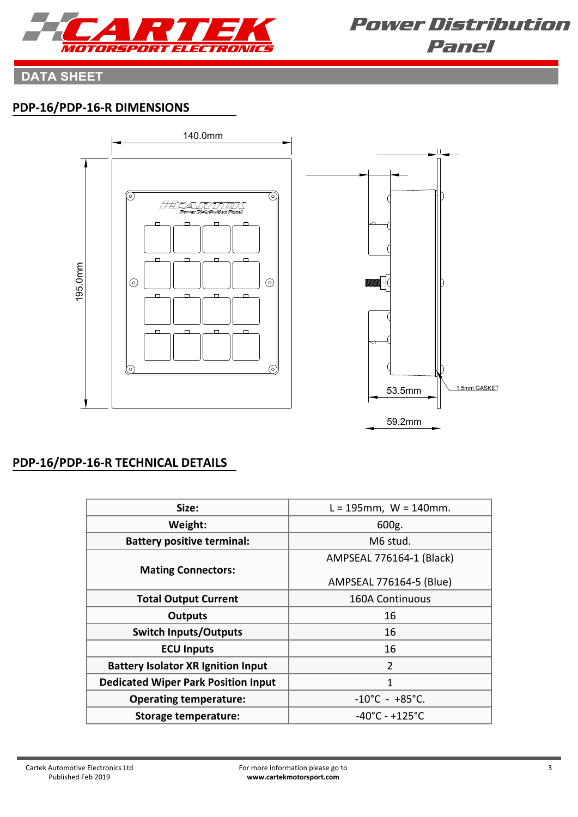

## **DATA SHEET**

## **PDP-16/PDP-16-R DIMENSIONS**



### **PDP-16/PDP-16-R TECHNICAL DETAILS**

| Size:                                      | $L = 195$ mm, W = 140mm.            |
|--------------------------------------------|-------------------------------------|
| Weight:                                    | 600g.                               |
| <b>Battery positive terminal:</b>          | M6 stud.                            |
|                                            | AMPSEAL 776164-1 (Black)            |
| <b>Mating Connectors:</b>                  | AMPSEAL 776164-5 (Blue)             |
| <b>Total Output Current</b>                | 160A Continuous                     |
| <b>Outputs</b>                             | 16                                  |
| <b>Switch Inputs/Outputs</b>               | 16                                  |
| <b>ECU Inputs</b>                          | 16                                  |
| <b>Battery Isolator XR Ignition Input</b>  | $\overline{2}$                      |
| <b>Dedicated Wiper Park Position Input</b> | 1                                   |
| <b>Operating temperature:</b>              | $-10^{\circ}$ C - +85 $^{\circ}$ C. |
| <b>Storage temperature:</b>                | $-40^{\circ}$ C - +125 $^{\circ}$ C |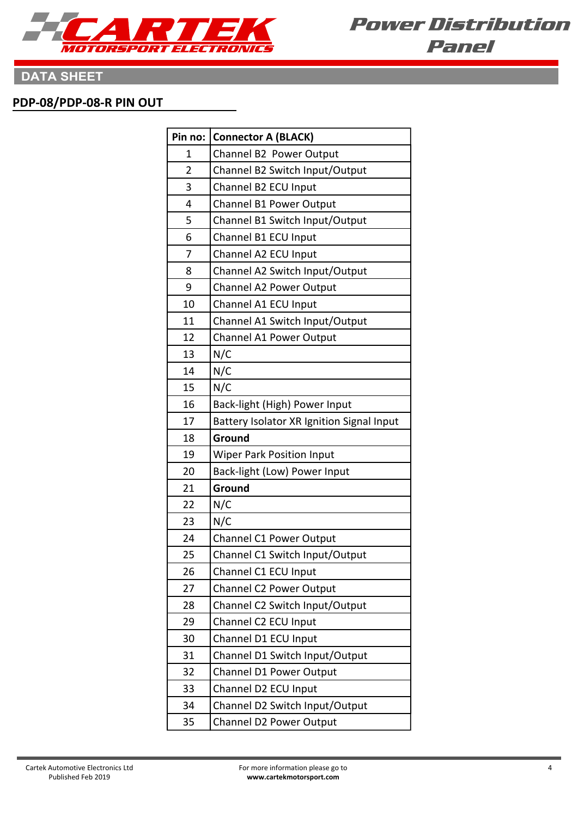

# **DATA SHEET**

#### **PDP-08/PDP-08-R PIN OUT**

| Pin no: | <b>Connector A (BLACK)</b>                |  |  |
|---------|-------------------------------------------|--|--|
| 1       | Channel B2 Power Output                   |  |  |
| 2       | Channel B2 Switch Input/Output            |  |  |
| 3       | Channel B2 ECU Input                      |  |  |
| 4       | Channel B1 Power Output                   |  |  |
| 5       | Channel B1 Switch Input/Output            |  |  |
| 6       | Channel B1 ECU Input                      |  |  |
| 7       | Channel A2 ECU Input                      |  |  |
| 8       | Channel A2 Switch Input/Output            |  |  |
| 9       | Channel A2 Power Output                   |  |  |
| 10      | Channel A1 ECU Input                      |  |  |
| 11      | Channel A1 Switch Input/Output            |  |  |
| 12      | Channel A1 Power Output                   |  |  |
| 13      | N/C                                       |  |  |
| 14      | N/C                                       |  |  |
| 15      | N/C                                       |  |  |
| 16      | Back-light (High) Power Input             |  |  |
| 17      | Battery Isolator XR Ignition Signal Input |  |  |
| 18      | Ground                                    |  |  |
| 19      | <b>Wiper Park Position Input</b>          |  |  |
| 20      | Back-light (Low) Power Input              |  |  |
| 21      | Ground                                    |  |  |
| 22      | N/C                                       |  |  |
| 23      | N/C                                       |  |  |
| 24      | Channel C1 Power Output                   |  |  |
| 25      | Channel C1 Switch Input/Output            |  |  |
| 26      | Channel C1 ECU Input                      |  |  |
| 27      | Channel C2 Power Output                   |  |  |
| 28      | Channel C2 Switch Input/Output            |  |  |
| 29      | Channel C2 ECU Input                      |  |  |
| 30      | Channel D1 ECU Input                      |  |  |
| 31      | Channel D1 Switch Input/Output            |  |  |
| 32      | Channel D1 Power Output                   |  |  |
| 33      | Channel D2 ECU Input                      |  |  |
| 34      | Channel D2 Switch Input/Output            |  |  |
| 35      | <b>Channel D2 Power Output</b>            |  |  |